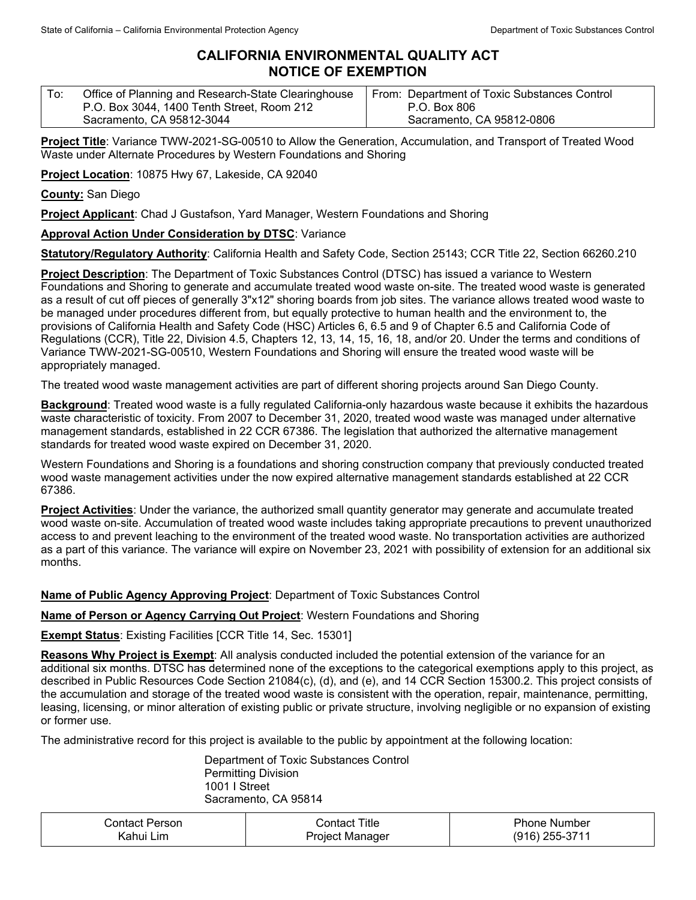# **CALIFORNIA ENVIRONMENTAL QUALITY ACT NOTICE OF EXEMPTION**

| $\mathsf{T}$ o: | Office of Planning and Research-State Clearinghouse | From: Department of Toxic Substances Control |
|-----------------|-----------------------------------------------------|----------------------------------------------|
|                 | P.O. Box 3044, 1400 Tenth Street, Room 212          | P.O. Box 806                                 |
|                 | Sacramento, CA 95812-3044                           | Sacramento, CA 95812-0806                    |

**Project Title**: Variance TWW-2021-SG-00510 to Allow the Generation, Accumulation, and Transport of Treated Wood Waste under Alternate Procedures by Western Foundations and Shoring

**Project Location**: 10875 Hwy 67, Lakeside, CA 92040

**County:** San Diego

**Project Applicant**: Chad J Gustafson, Yard Manager, Western Foundations and Shoring

### **Approval Action Under Consideration by DTSC**: Variance

**Statutory/Regulatory Authority**: California Health and Safety Code, Section 25143; CCR Title 22, Section 66260.210

**Project Description**: The Department of Toxic Substances Control (DTSC) has issued a variance to Western Foundations and Shoring to generate and accumulate treated wood waste on-site. The treated wood waste is generated as a result of cut off pieces of generally 3"x12" shoring boards from job sites. The variance allows treated wood waste to be managed under procedures different from, but equally protective to human health and the environment to, the provisions of California Health and Safety Code (HSC) Articles 6, 6.5 and 9 of Chapter 6.5 and California Code of Regulations (CCR), Title 22, Division 4.5, Chapters 12, 13, 14, 15, 16, 18, and/or 20. Under the terms and conditions of Variance TWW-2021-SG-00510, Western Foundations and Shoring will ensure the treated wood waste will be appropriately managed.

The treated wood waste management activities are part of different shoring projects around San Diego County.

**Background**: Treated wood waste is a fully regulated California-only hazardous waste because it exhibits the hazardous waste characteristic of toxicity. From 2007 to December 31, 2020, treated wood waste was managed under alternative management standards, established in 22 CCR 67386. The legislation that authorized the alternative management standards for treated wood waste expired on December 31, 2020.

Western Foundations and Shoring is a foundations and shoring construction company that previously conducted treated wood waste management activities under the now expired alternative management standards established at 22 CCR 67386.

**Project Activities**: Under the variance, the authorized small quantity generator may generate and accumulate treated wood waste on-site. Accumulation of treated wood waste includes taking appropriate precautions to prevent unauthorized access to and prevent leaching to the environment of the treated wood waste. No transportation activities are authorized as a part of this variance. The variance will expire on November 23, 2021 with possibility of extension for an additional six months.

### **Name of Public Agency Approving Project**: Department of Toxic Substances Control

#### **Name of Person or Agency Carrying Out Project**: Western Foundations and Shoring

### **Exempt Status**: Existing Facilities [CCR Title 14, Sec. 15301]

**Reasons Why Project is Exempt**: All analysis conducted included the potential extension of the variance for an additional six months. DTSC has determined none of the exceptions to the categorical exemptions apply to this project, as described in Public Resources Code Section 21084(c), (d), and (e), and 14 CCR Section 15300.2. This project consists of the accumulation and storage of the treated wood waste is consistent with the operation, repair, maintenance, permitting, leasing, licensing, or minor alteration of existing public or private structure, involving negligible or no expansion of existing or former use.

The administrative record for this project is available to the public by appointment at the following location:

Department of Toxic Substances Control Permitting Division 1001 I Street Sacramento, CA 95814

| ∶ontact Person  | Title<br>∴ontact     | <b>Phone Number</b> |
|-----------------|----------------------|---------------------|
| .≺ahui ′<br>Lim | Project<br>. Manager | (916)<br>255-3711   |